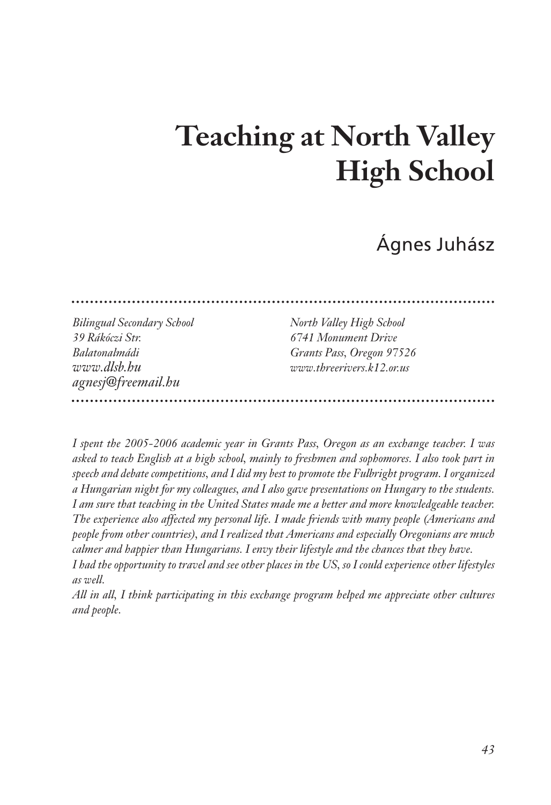# **Teaching at North Valley High School**

Ágnes Juhász

*Bilingual Secondary School North Valley High School 39 Rákóczi Str. 6741 Monument Drive Balatonalmádi Grants Pass, Oregon 97526 www.dlsb.hu www.threerivers.k12.or.us agnesj@freemail.hu* 

*I spent the 2005-2006 academic year in Grants Pass, Oregon as an exchange teacher. I was asked to teach English at a high school, mainly to freshmen and sophomores. I also took part in speech and debate competitions, and I did my best to promote the Fulbright program. I organized a Hungarian night for my colleagues, and I also gave presentations on Hungary to the students. I am sure that teaching in the United States made me a better and more knowledgeable teacher. The experience also affected my personal life. I made friends with many people (Americans and people from other countries), and I realized that Americans and especially Oregonians are much calmer and happier than Hungarians. I envy their lifestyle and the chances that they have. I had the opportunity to travel and see other places in the US, so I could experience other lifestyles as well.*

*All in all, I think participating in this exchange program helped me appreciate other cultures and people.*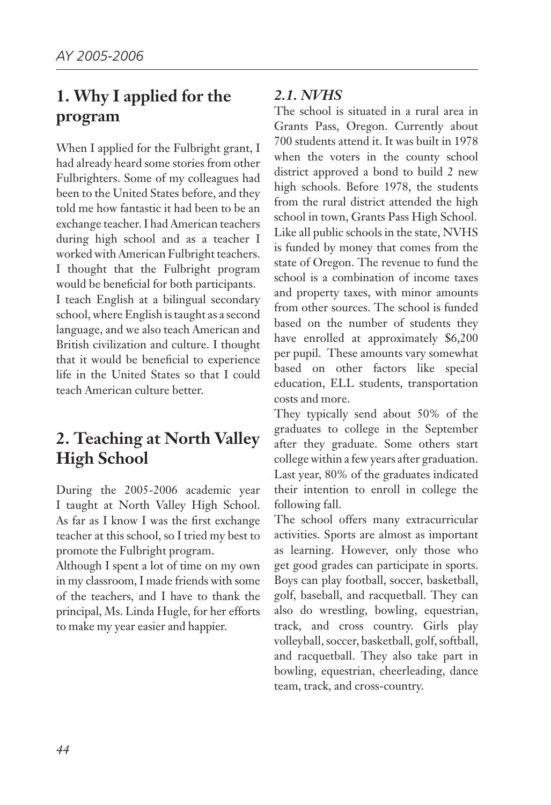# **1. Why I applied for the program**

When I applied for the Fulbright grant, I had already heard some stories from other Fulbrighters. Some of my colleagues had been to the United States before, and they told me how fantastic it had been to be an exchange teacher. I had American teachers during high school and as a teacher I worked with American Fulbright teachers. I thought that the Fulbright program would be beneficial for both participants. I teach English at a bilingual secondary school, where English is taught as a second language, and we also teach American and British civilization and culture. I thought that it would be beneficial to experience life in the United States so that I could teach American culture better.

# **2. Teaching at North Valley High School**

During the 2005-2006 academic year I taught at North Valley High School. As far as I know I was the first exchange teacher at this school, so I tried my best to promote the Fulbright program.

Although I spent a lot of time on my own in my classroom, I made friends with some of the teachers, and I have to thank the principal, Ms. Linda Hugle, for her efforts to make my year easier and happier.

## *2.1. NVHS*

The school is situated in a rural area in Grants Pass, Oregon. Currently about 700 students attend it. It was built in 1978 when the voters in the county school district approved a bond to build 2 new high schools. Before 1978, the students from the rural district attended the high school in town, Grants Pass High School. Like all public schools in the state, NVHS is funded by money that comes from the state of Oregon. The revenue to fund the school is a combination of income taxes and property taxes, with minor amounts from other sources. The school is funded based on the number of students they have enrolled at approximately \$6,200 per pupil. These amounts vary somewhat based on other factors like special education, ELL students, transportation costs and more.

They typically send about 50% of the graduates to college in the September after they graduate. Some others start college within a few years after graduation. Last year, 80% of the graduates indicated their intention to enroll in college the following fall.

The school offers many extracurricular activities. Sports are almost as important as learning. However, only those who get good grades can participate in sports. Boys can play football, soccer, basketball, golf, baseball, and racquetball. They can also do wrestling, bowling, equestrian, track, and cross country. Girls play volleyball, soccer, basketball, golf, softball, and racquetball. They also take part in bowling, equestrian, cheerleading, dance team, track, and cross-country.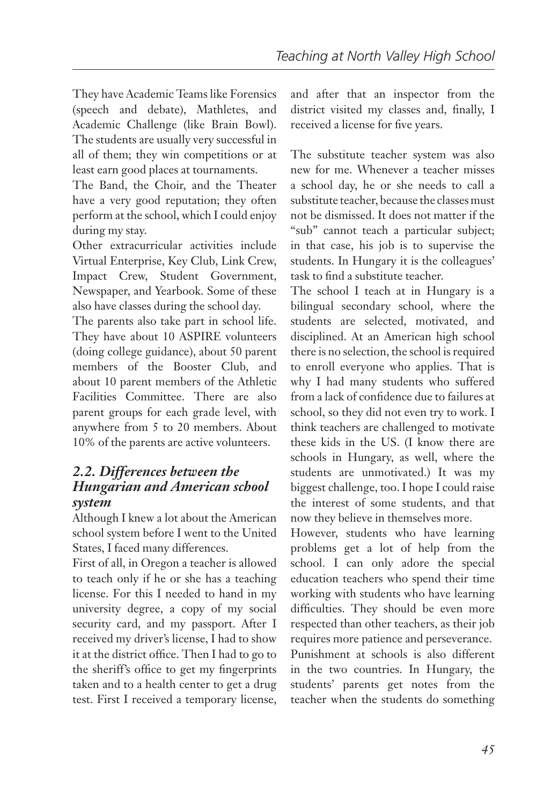They have Academic Teams like Forensics (speech and debate), Mathletes, and Academic Challenge (like Brain Bowl). The students are usually very successful in all of them; they win competitions or at least earn good places at tournaments.

The Band, the Choir, and the Theater have a very good reputation; they often perform at the school, which I could enjoy during my stay.

Other extracurricular activities include Virtual Enterprise, Key Club, Link Crew, Impact Crew, Student Government, Newspaper, and Yearbook. Some of these also have classes during the school day.

The parents also take part in school life. They have about 10 ASPIRE volunteers (doing college guidance), about 50 parent members of the Booster Club, and about 10 parent members of the Athletic Facilities Committee. There are also parent groups for each grade level, with anywhere from 5 to 20 members. About 10% of the parents are active volunteers.

#### *2.2. Differences between the Hungarian and American school system*

Although I knew a lot about the American school system before I went to the United States, I faced many differences.

First of all, in Oregon a teacher is allowed to teach only if he or she has a teaching license. For this I needed to hand in my university degree, a copy of my social security card, and my passport. After I received my driver's license, I had to show it at the district office. Then I had to go to the sheriff's office to get my fingerprints taken and to a health center to get a drug test. First I received a temporary license, and after that an inspector from the district visited my classes and, finally, I received a license for five years.

The substitute teacher system was also new for me. Whenever a teacher misses a school day, he or she needs to call a substitute teacher, because the classes must not be dismissed. It does not matter if the "sub" cannot teach a particular subject; in that case, his job is to supervise the students. In Hungary it is the colleagues' task to find a substitute teacher.

The school I teach at in Hungary is a bilingual secondary school, where the students are selected, motivated, and disciplined. At an American high school there is no selection, the school is required to enroll everyone who applies. That is why I had many students who suffered from a lack of confidence due to failures at school, so they did not even try to work. I think teachers are challenged to motivate these kids in the US. (I know there are schools in Hungary, as well, where the students are unmotivated.) It was my biggest challenge, too. I hope I could raise the interest of some students, and that now they believe in themselves more.

However, students who have learning problems get a lot of help from the school. I can only adore the special education teachers who spend their time working with students who have learning difficulties. They should be even more respected than other teachers, as their job requires more patience and perseverance.

Punishment at schools is also different in the two countries. In Hungary, the students' parents get notes from the teacher when the students do something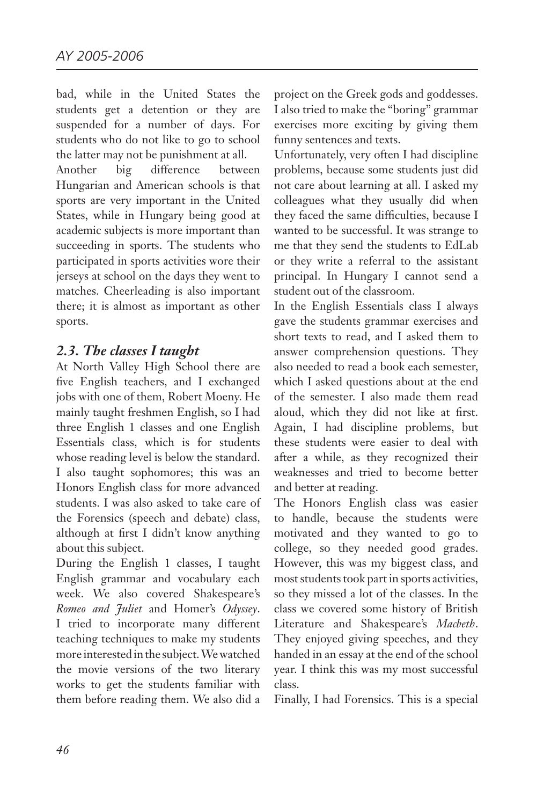bad, while in the United States the students get a detention or they are suspended for a number of days. For students who do not like to go to school the latter may not be punishment at all.

Another big difference between Hungarian and American schools is that sports are very important in the United States, while in Hungary being good at academic subjects is more important than succeeding in sports. The students who participated in sports activities wore their jerseys at school on the days they went to matches. Cheerleading is also important there; it is almost as important as other sports.

#### *2.3. The classes I taught*

At North Valley High School there are five English teachers, and I exchanged jobs with one of them, Robert Moeny. He mainly taught freshmen English, so I had three English 1 classes and one English Essentials class, which is for students whose reading level is below the standard. I also taught sophomores; this was an Honors English class for more advanced students. I was also asked to take care of the Forensics (speech and debate) class, although at first I didn't know anything about this subject.

During the English 1 classes, I taught English grammar and vocabulary each week. We also covered Shakespeare's *Romeo and Juliet* and Homer's *Odyssey*. I tried to incorporate many different teaching techniques to make my students more interested in the subject. We watched the movie versions of the two literary works to get the students familiar with them before reading them. We also did a

project on the Greek gods and goddesses. I also tried to make the "boring" grammar exercises more exciting by giving them funny sentences and texts.

Unfortunately, very often I had discipline problems, because some students just did not care about learning at all. I asked my colleagues what they usually did when they faced the same difficulties, because I wanted to be successful. It was strange to me that they send the students to EdLab or they write a referral to the assistant principal. In Hungary I cannot send a student out of the classroom.

In the English Essentials class I always gave the students grammar exercises and short texts to read, and I asked them to answer comprehension questions. They also needed to read a book each semester, which I asked questions about at the end of the semester. I also made them read aloud, which they did not like at first. Again, I had discipline problems, but these students were easier to deal with after a while, as they recognized their weaknesses and tried to become better and better at reading.

The Honors English class was easier to handle, because the students were motivated and they wanted to go to college, so they needed good grades. However, this was my biggest class, and most students took part in sports activities, so they missed a lot of the classes. In the class we covered some history of British Literature and Shakespeare's *Macbeth*. They enjoyed giving speeches, and they handed in an essay at the end of the school year. I think this was my most successful class.

Finally, I had Forensics. This is a special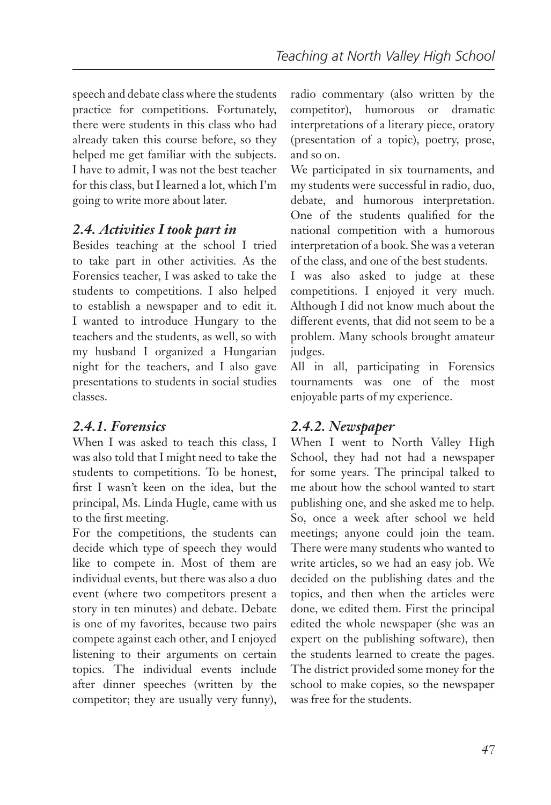speech and debate class where the students practice for competitions. Fortunately, there were students in this class who had already taken this course before, so they helped me get familiar with the subjects. I have to admit, I was not the best teacher for this class, but I learned a lot, which I'm going to write more about later.

## *2.4. Activities I took part in*

Besides teaching at the school I tried to take part in other activities. As the Forensics teacher, I was asked to take the students to competitions. I also helped to establish a newspaper and to edit it. I wanted to introduce Hungary to the teachers and the students, as well, so with my husband I organized a Hungarian night for the teachers, and I also gave presentations to students in social studies classes.

## *2.4.1. Forensics*

When I was asked to teach this class, I was also told that I might need to take the students to competitions. To be honest, first I wasn't keen on the idea, but the principal, Ms. Linda Hugle, came with us to the first meeting.

For the competitions, the students can decide which type of speech they would like to compete in. Most of them are individual events, but there was also a duo event (where two competitors present a story in ten minutes) and debate. Debate is one of my favorites, because two pairs compete against each other, and I enjoyed listening to their arguments on certain topics. The individual events include after dinner speeches (written by the competitor; they are usually very funny),

radio commentary (also written by the competitor), humorous or dramatic interpretations of a literary piece, oratory (presentation of a topic), poetry, prose, and so on.

We participated in six tournaments, and my students were successful in radio, duo, debate, and humorous interpretation. One of the students qualified for the national competition with a humorous interpretation of a book. She was a veteran of the class, and one of the best students.

I was also asked to judge at these competitions. I enjoyed it very much. Although I did not know much about the different events, that did not seem to be a problem. Many schools brought amateur judges.

All in all, participating in Forensics tournaments was one of the most enjoyable parts of my experience.

## *2.4.2. Newspaper*

When I went to North Valley High School, they had not had a newspaper for some years. The principal talked to me about how the school wanted to start publishing one, and she asked me to help. So, once a week after school we held meetings; anyone could join the team. There were many students who wanted to write articles, so we had an easy job. We decided on the publishing dates and the topics, and then when the articles were done, we edited them. First the principal edited the whole newspaper (she was an expert on the publishing software), then the students learned to create the pages. The district provided some money for the school to make copies, so the newspaper was free for the students.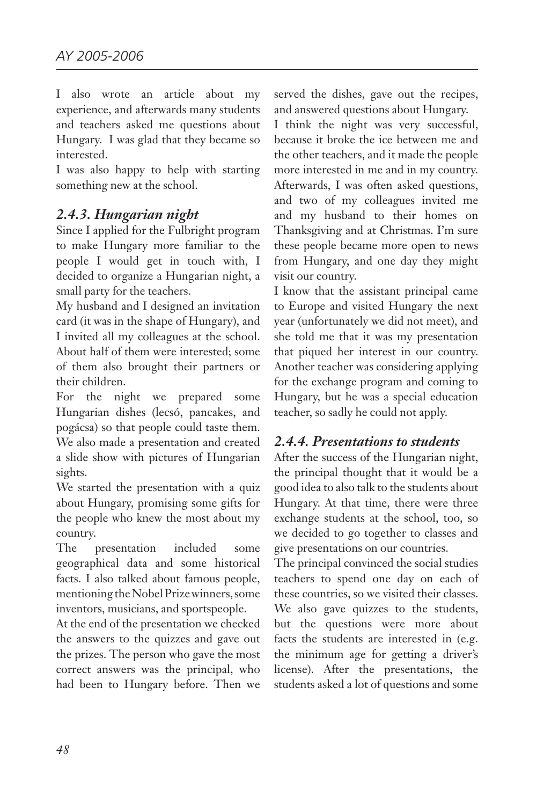I also wrote an article about my experience, and afterwards many students and teachers asked me questions about Hungary. I was glad that they became so interested.

I was also happy to help with starting something new at the school.

# *2.4.3. Hungarian night*

Since I applied for the Fulbright program to make Hungary more familiar to the people I would get in touch with, I decided to organize a Hungarian night, a small party for the teachers.

My husband and I designed an invitation card (it was in the shape of Hungary), and I invited all my colleagues at the school. About half of them were interested; some of them also brought their partners or their children.

For the night we prepared some Hungarian dishes (lecsó, pancakes, and pogácsa) so that people could taste them. We also made a presentation and created a slide show with pictures of Hungarian sights.

We started the presentation with a quiz about Hungary, promising some gifts for the people who knew the most about my country.

The presentation included some geographical data and some historical facts. I also talked about famous people, mentioning the Nobel Prize winners, some inventors, musicians, and sportspeople.

At the end of the presentation we checked the answers to the quizzes and gave out the prizes. The person who gave the most correct answers was the principal, who had been to Hungary before. Then we

served the dishes, gave out the recipes, and answered questions about Hungary.

I think the night was very successful, because it broke the ice between me and the other teachers, and it made the people more interested in me and in my country. Afterwards, I was often asked questions, and two of my colleagues invited me and my husband to their homes on Thanksgiving and at Christmas. I'm sure these people became more open to news from Hungary, and one day they might visit our country.

I know that the assistant principal came to Europe and visited Hungary the next year (unfortunately we did not meet), and she told me that it was my presentation that piqued her interest in our country. Another teacher was considering applying for the exchange program and coming to Hungary, but he was a special education teacher, so sadly he could not apply.

## *2.4.4. Presentations to students*

After the success of the Hungarian night, the principal thought that it would be a good idea to also talk to the students about Hungary. At that time, there were three exchange students at the school, too, so we decided to go together to classes and give presentations on our countries.

The principal convinced the social studies teachers to spend one day on each of these countries, so we visited their classes. We also gave quizzes to the students, but the questions were more about facts the students are interested in (e.g. the minimum age for getting a driver's license). After the presentations, the students asked a lot of questions and some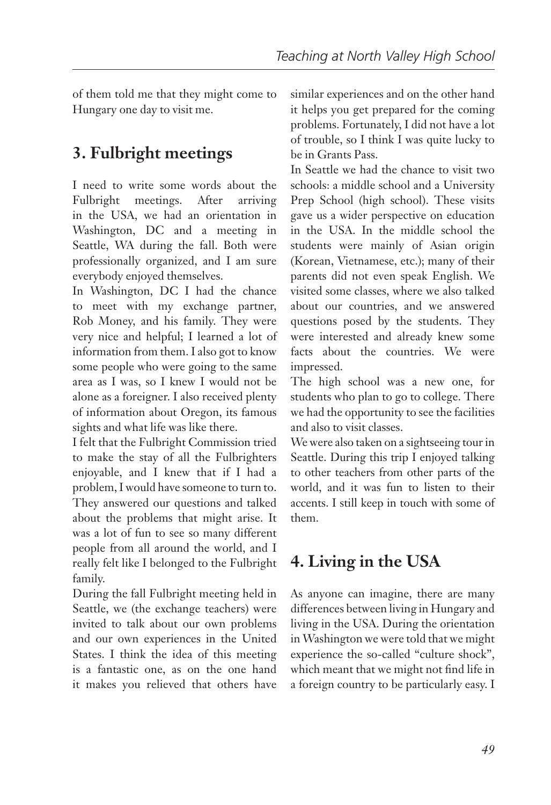of them told me that they might come to Hungary one day to visit me.

# **3. Fulbright meetings**

I need to write some words about the Fulbright meetings. After arriving in the USA, we had an orientation in Washington, DC and a meeting in Seattle, WA during the fall. Both were professionally organized, and I am sure everybody enjoyed themselves.

In Washington, DC I had the chance to meet with my exchange partner, Rob Money, and his family. They were very nice and helpful; I learned a lot of information from them. I also got to know some people who were going to the same area as I was, so I knew I would not be alone as a foreigner. I also received plenty of information about Oregon, its famous sights and what life was like there.

I felt that the Fulbright Commission tried to make the stay of all the Fulbrighters enjoyable, and I knew that if I had a problem, I would have someone to turn to. They answered our questions and talked about the problems that might arise. It was a lot of fun to see so many different people from all around the world, and I really felt like I belonged to the Fulbright family.

During the fall Fulbright meeting held in Seattle, we (the exchange teachers) were invited to talk about our own problems and our own experiences in the United States. I think the idea of this meeting is a fantastic one, as on the one hand it makes you relieved that others have

similar experiences and on the other hand it helps you get prepared for the coming problems. Fortunately, I did not have a lot of trouble, so I think I was quite lucky to be in Grants Pass.

In Seattle we had the chance to visit two schools: a middle school and a University Prep School (high school). These visits gave us a wider perspective on education in the USA. In the middle school the students were mainly of Asian origin (Korean, Vietnamese, etc.); many of their parents did not even speak English. We visited some classes, where we also talked about our countries, and we answered questions posed by the students. They were interested and already knew some facts about the countries. We were impressed.

The high school was a new one, for students who plan to go to college. There we had the opportunity to see the facilities and also to visit classes.

We were also taken on a sightseeing tour in Seattle. During this trip I enjoyed talking to other teachers from other parts of the world, and it was fun to listen to their accents. I still keep in touch with some of them.

# **4. Living in the USA**

As anyone can imagine, there are many differences between living in Hungary and living in the USA. During the orientation in Washington we were told that we might experience the so-called "culture shock", which meant that we might not find life in a foreign country to be particularly easy. I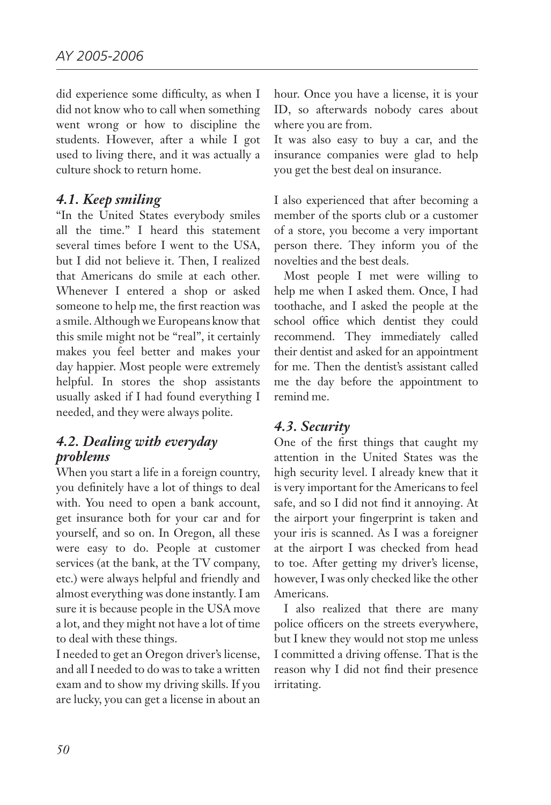did experience some difficulty, as when I did not know who to call when something went wrong or how to discipline the students. However, after a while I got used to living there, and it was actually a culture shock to return home.

#### *4.1. Keep smiling*

"In the United States everybody smiles all the time." I heard this statement several times before I went to the USA, but I did not believe it. Then, I realized that Americans do smile at each other. Whenever I entered a shop or asked someone to help me, the first reaction was a smile. Although we Europeans know that this smile might not be "real", it certainly makes you feel better and makes your day happier. Most people were extremely helpful. In stores the shop assistants usually asked if I had found everything I needed, and they were always polite.

#### *4.2. Dealing with everyday problems*

When you start a life in a foreign country, you definitely have a lot of things to deal with. You need to open a bank account, get insurance both for your car and for yourself, and so on. In Oregon, all these were easy to do. People at customer services (at the bank, at the TV company, etc.) were always helpful and friendly and almost everything was done instantly. I am sure it is because people in the USA move a lot, and they might not have a lot of time to deal with these things.

I needed to get an Oregon driver's license, and all I needed to do was to take a written exam and to show my driving skills. If you are lucky, you can get a license in about an hour. Once you have a license, it is your ID, so afterwards nobody cares about where you are from.

It was also easy to buy a car, and the insurance companies were glad to help you get the best deal on insurance.

I also experienced that after becoming a member of the sports club or a customer of a store, you become a very important person there. They inform you of the novelties and the best deals.

Most people I met were willing to help me when I asked them. Once, I had toothache, and I asked the people at the school office which dentist they could recommend. They immediately called their dentist and asked for an appointment for me. Then the dentist's assistant called me the day before the appointment to remind me.

#### *4.3. Security*

One of the first things that caught my attention in the United States was the high security level. I already knew that it is very important for the Americans to feel safe, and so I did not find it annoying. At the airport your fingerprint is taken and your iris is scanned. As I was a foreigner at the airport I was checked from head to toe. After getting my driver's license, however, I was only checked like the other Americans.

I also realized that there are many police officers on the streets everywhere, but I knew they would not stop me unless I committed a driving offense. That is the reason why I did not find their presence irritating.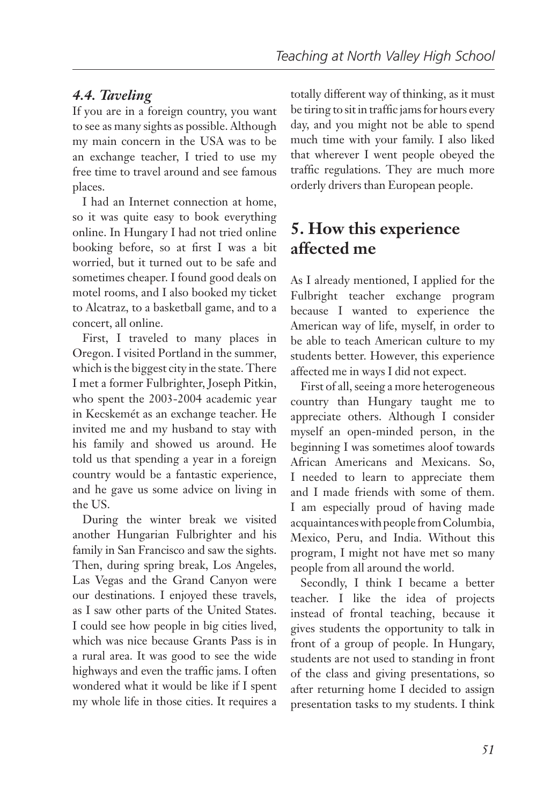# *4.4. Taveling*

If you are in a foreign country, you want to see as many sights as possible. Although my main concern in the USA was to be an exchange teacher, I tried to use my free time to travel around and see famous places.

I had an Internet connection at home, so it was quite easy to book everything online. In Hungary I had not tried online booking before, so at first I was a bit worried, but it turned out to be safe and sometimes cheaper. I found good deals on motel rooms, and I also booked my ticket to Alcatraz, to a basketball game, and to a concert, all online.

First, I traveled to many places in Oregon. I visited Portland in the summer, which is the biggest city in the state. There I met a former Fulbrighter, Joseph Pitkin, who spent the 2003-2004 academic year in Kecskemét as an exchange teacher. He invited me and my husband to stay with his family and showed us around. He told us that spending a year in a foreign country would be a fantastic experience, and he gave us some advice on living in the US.

During the winter break we visited another Hungarian Fulbrighter and his family in San Francisco and saw the sights. Then, during spring break, Los Angeles, Las Vegas and the Grand Canyon were our destinations. I enjoyed these travels, as I saw other parts of the United States. I could see how people in big cities lived, which was nice because Grants Pass is in a rural area. It was good to see the wide highways and even the traffic jams. I often wondered what it would be like if I spent my whole life in those cities. It requires a

totally different way of thinking, as it must be tiring to sit in traffic jams for hours every day, and you might not be able to spend much time with your family. I also liked that wherever I went people obeyed the traffic regulations. They are much more orderly drivers than European people.

# **5. How this experience affected me**

As I already mentioned, I applied for the Fulbright teacher exchange program because I wanted to experience the American way of life, myself, in order to be able to teach American culture to my students better. However, this experience affected me in ways I did not expect.

First of all, seeing a more heterogeneous country than Hungary taught me to appreciate others. Although I consider myself an open-minded person, in the beginning I was sometimes aloof towards African Americans and Mexicans. So, I needed to learn to appreciate them and I made friends with some of them. I am especially proud of having made acquaintances with people from Columbia, Mexico, Peru, and India. Without this program, I might not have met so many people from all around the world.

Secondly, I think I became a better teacher. I like the idea of projects instead of frontal teaching, because it gives students the opportunity to talk in front of a group of people. In Hungary, students are not used to standing in front of the class and giving presentations, so after returning home I decided to assign presentation tasks to my students. I think